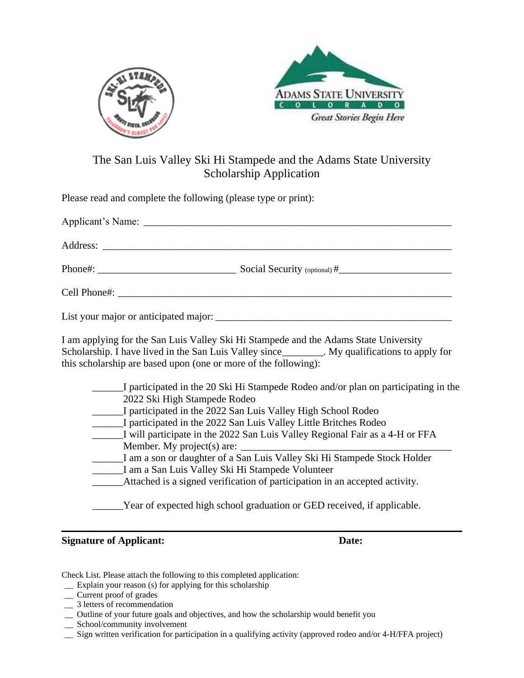



## The San Luis Valley Ski Hi Stampede and the Adams State University Scholarship Application

Please read and complete the following (please type or print):

I am applying for the San Luis Valley Ski Hi Stampede and the Adams State University Scholarship. I have lived in the San Luis Valley since \_\_\_\_\_\_\_. My qualifications to apply for this scholarship are based upon (one or more of the following):

| I participated in the 20 Ski Hi Stampede Rodeo and/or plan on participating in the |
|------------------------------------------------------------------------------------|
| 2022 Ski High Stampede Rodeo                                                       |
| I participated in the 2022 San Luis Valley High School Rodeo                       |
| I participated in the 2022 San Luis Valley Little Britches Rodeo                   |
| I will participate in the 2022 San Luis Valley Regional Fair as a 4-H or FFA       |
| Member. My project(s) are:                                                         |
| I am a son or daughter of a San Luis Valley Ski Hi Stampede Stock Holder           |
| I am a San Luis Valley Ski Hi Stampede Volunteer                                   |
| Attached is a signed verification of participation in an accepted activity.        |
| Year of expected high school graduation or GED received, if applicable.            |

**Signature of Applicant: Date:**

Check List. Please attach the following to this completed application:

- \_\_ Explain your reason (s) for applying for this scholarship
- \_\_ Current proof of grades
- \_\_ 3 letters of recommendation
- \_\_ Outline of your future goals and objectives, and how the scholarship would benefit you
- \_\_ School/community involvement
- \_\_ Sign written verification for participation in a qualifying activity (approved rodeo and/or 4-H/FFA project)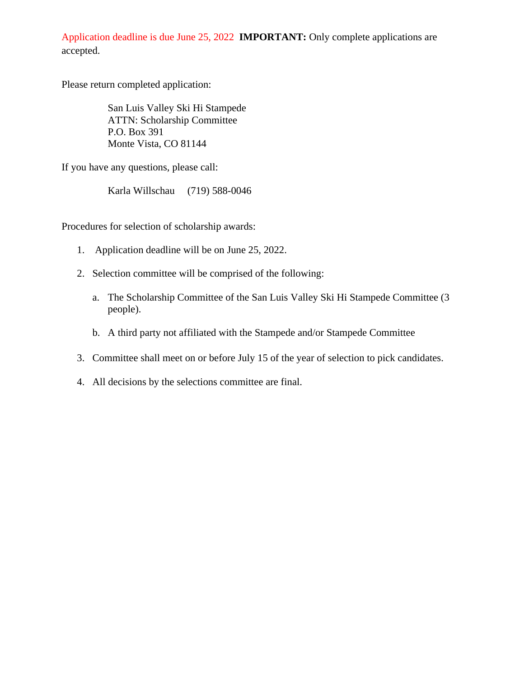Application deadline is due June 25, 2022 **IMPORTANT:** Only complete applications are accepted.

Please return completed application:

San Luis Valley Ski Hi Stampede ATTN: Scholarship Committee P.O. Box 391 Monte Vista, CO 81144

If you have any questions, please call:

Karla Willschau (719) 588-0046

Procedures for selection of scholarship awards:

- 1. Application deadline will be on June 25, 2022.
- 2. Selection committee will be comprised of the following:
	- a. The Scholarship Committee of the San Luis Valley Ski Hi Stampede Committee (3 people).
	- b. A third party not affiliated with the Stampede and/or Stampede Committee
- 3. Committee shall meet on or before July 15 of the year of selection to pick candidates.
- 4. All decisions by the selections committee are final.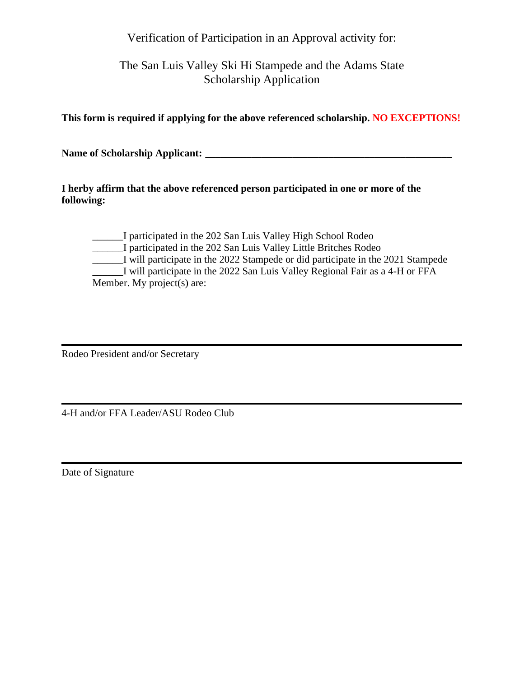Verification of Participation in an Approval activity for:

The San Luis Valley Ski Hi Stampede and the Adams State Scholarship Application

**This form is required if applying for the above referenced scholarship. NO EXCEPTIONS!**

**Name of Scholarship Applicant: \_\_\_\_\_\_\_\_\_\_\_\_\_\_\_\_\_\_\_\_\_\_\_\_\_\_\_\_\_\_\_\_\_\_\_\_\_\_\_\_\_\_\_\_\_\_\_\_**

**I herby affirm that the above referenced person participated in one or more of the following:**

\_\_\_\_\_\_I participated in the 202 San Luis Valley High School Rodeo \_\_\_\_\_\_I participated in the 202 San Luis Valley Little Britches Rodeo I will participate in the 2022 Stampede or did participate in the 2021 Stampede \_\_\_\_\_\_I will participate in the 2022 San Luis Valley Regional Fair as a 4-H or FFA Member. My project(s) are:

Rodeo President and/or Secretary

4-H and/or FFA Leader/ASU Rodeo Club

Date of Signature